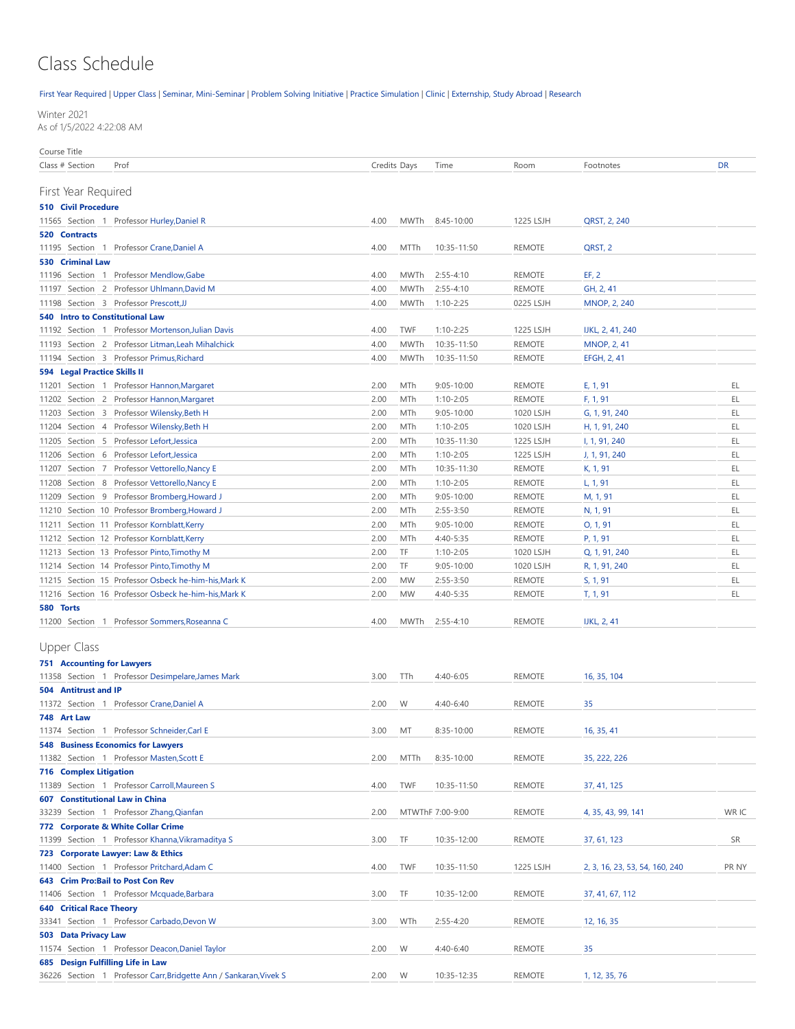## Class Schedule

[First Year Required](#page-0-0) | [Upper Class](#page-0-1) | [Seminar, Mini-Seminar](#page-2-0) | [Problem Solving Initiative |](#page-3-0) [Practice Simulation](#page-3-1) | [Clinic](#page-4-0) | [Externship, Study Abroad](#page-5-0) | [Research](#page-5-1)

Winter 2021 As of 1/5/2022 4:22:08 AM

Course Title

<span id="page-0-1"></span><span id="page-0-0"></span>

| Class # Section                        | Prof                                                              |      | Credits Days | Time             | Room          | Footnotes                      | <b>DR</b> |
|----------------------------------------|-------------------------------------------------------------------|------|--------------|------------------|---------------|--------------------------------|-----------|
|                                        |                                                                   |      |              |                  |               |                                |           |
| First Year Required                    |                                                                   |      |              |                  |               |                                |           |
| <b>510 Civil Procedure</b>             |                                                                   |      |              |                  |               |                                |           |
|                                        | 11565 Section 1 Professor Hurley, Daniel R                        | 4.00 | MWTh         | 8:45-10:00       | 1225 LSJH     | QRST, 2, 240                   |           |
| 520 Contracts                          |                                                                   |      |              |                  |               |                                |           |
|                                        | 11195 Section 1 Professor Crane, Daniel A                         | 4.00 | MTTh         | 10:35-11:50      | <b>REMOTE</b> | QRST, 2                        |           |
| 530 Criminal Law                       |                                                                   |      |              |                  |               |                                |           |
|                                        | 11196 Section 1 Professor Mendlow, Gabe                           | 4.00 | MWTh         | $2:55 - 4:10$    | REMOTE        | EF, 2                          |           |
| 11197                                  | Section 2 Professor Uhlmann, David M                              | 4.00 | <b>MWTh</b>  | $2:55 - 4:10$    | <b>REMOTE</b> | GH, 2, 41                      |           |
|                                        | 11198 Section 3 Professor Prescott.JJ                             | 4.00 | MWTh         | $1:10 - 2:25$    | 0225 LSJH     | <b>MNOP, 2, 240</b>            |           |
| <b>540 Intro to Constitutional Law</b> |                                                                   |      |              |                  |               |                                |           |
|                                        | 11192 Section 1 Professor Mortenson, Julian Davis                 | 4.00 | <b>TWF</b>   | $1:10 - 2:25$    | 1225 LSJH     | IJKL, 2, 41, 240               |           |
|                                        | 11193 Section 2 Professor Litman, Leah Mihalchick                 | 4.00 | <b>MWTh</b>  | 10:35-11:50      | <b>REMOTE</b> | <b>MNOP, 2, 41</b>             |           |
|                                        | 11194 Section 3 Professor Primus, Richard                         | 4.00 | MWTh         | 10:35-11:50      | <b>REMOTE</b> | EFGH, 2, 41                    |           |
|                                        |                                                                   |      |              |                  |               |                                |           |
| 594 Legal Practice Skills II           |                                                                   |      |              |                  |               |                                |           |
|                                        | 11201 Section 1 Professor Hannon, Margaret                        | 2.00 | MTh          | $9:05 - 10:00$   | <b>REMOTE</b> | E, 1, 91                       | EL        |
|                                        | 11202 Section 2 Professor Hannon, Margaret                        | 2.00 | MTh          | $1:10 - 2:05$    | <b>REMOTE</b> | F, 1, 91                       | EL        |
|                                        | 11203 Section 3 Professor Wilensky, Beth H                        | 2.00 | MTh          | $9:05 - 10:00$   | 1020 LSJH     | G, 1, 91, 240                  | EL        |
|                                        | 11204 Section 4 Professor Wilensky, Beth H                        | 2.00 | MTh          | $1:10 - 2:05$    | 1020 LSJH     | H, 1, 91, 240                  | EL        |
|                                        | 11205 Section 5 Professor Lefort, Jessica                         | 2.00 | MTh          | 10:35-11:30      | 1225 LSJH     | I, 1, 91, 240                  | EL        |
|                                        | 11206 Section 6 Professor Lefort, Jessica                         | 2.00 | MTh          | $1:10 - 2:05$    | 1225 LSJH     | J, 1, 91, 240                  | EL        |
|                                        | 11207 Section 7 Professor Vettorello, Nancy E                     | 2.00 | MTh          | 10:35-11:30      | <b>REMOTE</b> | K, 1, 91                       | EL        |
| 11208                                  | Section 8 Professor Vettorello, Nancy E                           | 2.00 | MTh          | $1:10 - 2:05$    | <b>REMOTE</b> | L, 1, 91                       | EL        |
|                                        | 11209 Section 9 Professor Bromberg, Howard J                      | 2.00 | MTh          | $9:05 - 10:00$   | <b>REMOTE</b> | M, 1, 91                       | EL        |
|                                        | 11210 Section 10 Professor Bromberg, Howard J                     | 2.00 | MTh          | $2:55 - 3:50$    | <b>REMOTE</b> | N, 1, 91                       | EL        |
|                                        | 11211 Section 11 Professor Kornblatt, Kerry                       | 2.00 | MTh          | $9:05 - 10:00$   | <b>REMOTE</b> | O, 1, 91                       | EL        |
|                                        | 11212 Section 12 Professor Kornblatt, Kerry                       | 2.00 | MTh          | 4:40-5:35        | <b>REMOTE</b> | P, 1, 91                       | EL        |
|                                        | 11213 Section 13 Professor Pinto, Timothy M                       | 2.00 | TF           | $1:10 - 2:05$    | 1020 LSJH     | Q, 1, 91, 240                  | EL        |
|                                        | 11214 Section 14 Professor Pinto, Timothy M                       | 2.00 | TF           | $9:05 - 10:00$   | 1020 LSJH     | R, 1, 91, 240                  | EL        |
|                                        | 11215 Section 15 Professor Osbeck he-him-his, Mark K              | 2.00 | <b>MW</b>    | $2:55 - 3:50$    | <b>REMOTE</b> | S, 1, 91                       | EL        |
|                                        | 11216 Section 16 Professor Osbeck he-him-his, Mark K              | 2.00 | <b>MW</b>    | 4:40-5:35        | <b>REMOTE</b> | T, 1, 91                       | EL        |
|                                        |                                                                   |      |              |                  |               |                                |           |
| 580 Torts                              | 11200 Section 1 Professor Sommers, Roseanna C                     | 4.00 | MWTh         | $2:55 - 4:10$    | <b>REMOTE</b> | <b>IJKL, 2, 41</b>             |           |
|                                        |                                                                   |      |              |                  |               |                                |           |
| <b>Upper Class</b>                     |                                                                   |      |              |                  |               |                                |           |
|                                        |                                                                   |      |              |                  |               |                                |           |
| <b>751 Accounting for Lawyers</b>      |                                                                   |      |              |                  |               |                                |           |
|                                        | 11358 Section 1 Professor Desimpelare, James Mark                 | 3.00 | TTh          | 4:40-6:05        | <b>REMOTE</b> | 16, 35, 104                    |           |
| 504 Antitrust and IP                   |                                                                   |      |              |                  |               |                                |           |
|                                        | 11372 Section 1 Professor Crane, Daniel A                         | 2.00 | W            | $4:40-6:40$      | <b>REMOTE</b> | 35                             |           |
| 748 Art Law                            |                                                                   |      |              |                  |               |                                |           |
|                                        | 11374 Section 1 Professor Schneider, Carl E                       | 3.00 | MT           | 8:35-10:00       | <b>REMOTE</b> | 16, 35, 41                     |           |
|                                        | <b>548 Business Economics for Lawyers</b>                         |      |              |                  |               |                                |           |
|                                        | 11382 Section 1 Professor Masten, Scott E                         | 2.00 | MTTh         | 8:35-10:00       | <b>REMOTE</b> | 35, 222, 226                   |           |
| <b>716 Complex Litigation</b>          |                                                                   |      |              |                  |               |                                |           |
|                                        | 11389 Section 1 Professor Carroll, Maureen S                      | 4.00 | TWF          | 10:35-11:50      | <b>REMOTE</b> | 37, 41, 125                    |           |
| 607 Constitutional Law in China        |                                                                   |      |              |                  |               |                                |           |
| 33239                                  | Section 1 Professor Zhang, Qianfan                                | 2.00 |              | MTWThF 7:00-9:00 | REMOTE        | 4, 35, 43, 99, 141             | WR IC     |
|                                        | 772 Corporate & White Collar Crime                                |      |              |                  |               |                                |           |
|                                        | 11399 Section 1 Professor Khanna, Vikramaditya S                  | 3.00 | TF           | 10:35-12:00      | REMOTE        | 37, 61, 123                    | SR        |
|                                        | 723 Corporate Lawyer: Law & Ethics                                |      |              |                  |               |                                |           |
|                                        | 11400 Section 1 Professor Pritchard, Adam C                       | 4.00 | <b>TWF</b>   | 10:35-11:50      | 1225 LSJH     | 2, 3, 16, 23, 53, 54, 160, 240 | PR NY     |
| 643 Crim Pro: Bail to Post Con Rev     |                                                                   |      |              |                  |               |                                |           |
|                                        | 11406 Section 1 Professor Mcquade, Barbara                        | 3.00 | TF           | 10:35-12:00      | REMOTE        | 37, 41, 67, 112                |           |
| <b>640 Critical Race Theory</b>        |                                                                   |      |              |                  |               |                                |           |
| 33341                                  | Section 1 Professor Carbado, Devon W                              | 3.00 | WTh          | $2:55 - 4:20$    | REMOTE        | 12, 16, 35                     |           |
| 503 Data Privacy Law                   |                                                                   |      |              |                  |               |                                |           |
|                                        | 11574 Section 1 Professor Deacon, Daniel Taylor                   | 2.00 | W            | 4:40-6:40        | REMOTE        | 35                             |           |
|                                        |                                                                   |      |              |                  |               |                                |           |
| 685 Design Fulfilling Life in Law      |                                                                   |      |              |                  |               |                                |           |
|                                        | 36226 Section 1 Professor Carr, Bridgette Ann / Sankaran, Vivek S | 2.00 | W            | 10:35-12:35      | REMOTE        | 1, 12, 35, 76                  |           |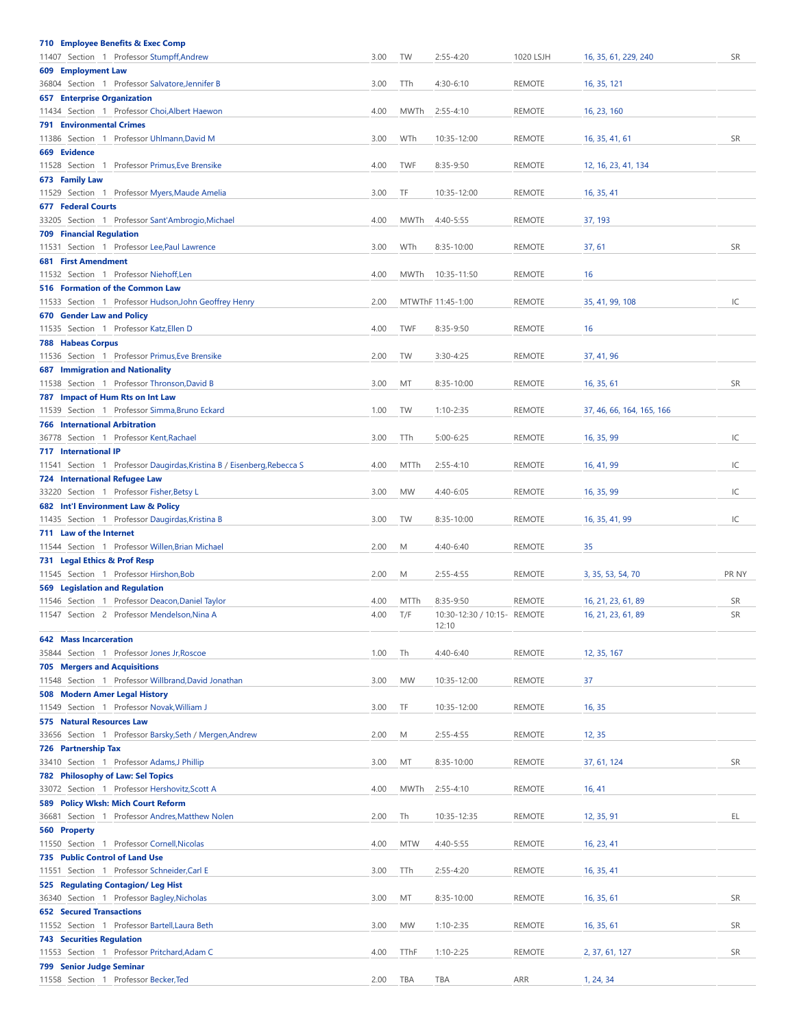| 710 Employee Benefits & Exec Comp                                      |      |             |                             |               |                           |           |
|------------------------------------------------------------------------|------|-------------|-----------------------------|---------------|---------------------------|-----------|
| 11407 Section 1 Professor Stumpff, Andrew                              | 3.00 | TW          | $2:55 - 4:20$               | 1020 LSJH     | 16, 35, 61, 229, 240      | <b>SR</b> |
| 609 Employment Law                                                     |      |             |                             |               |                           |           |
| 36804 Section 1 Professor Salvatore, Jennifer B                        | 3.00 | TTh         | $4:30-6:10$                 | <b>REMOTE</b> | 16, 35, 121               |           |
| <b>657 Enterprise Organization</b>                                     |      |             |                             |               |                           |           |
| 11434 Section 1 Professor Choi, Albert Haewon                          | 4.00 | <b>MWTh</b> | $2:55 - 4:10$               | <b>REMOTE</b> | 16, 23, 160               |           |
| <b>791 Environmental Crimes</b>                                        |      |             |                             |               |                           |           |
| 11386 Section 1 Professor Uhlmann, David M                             | 3.00 | WTh         | 10:35-12:00                 | <b>REMOTE</b> | 16, 35, 41, 61            | <b>SR</b> |
| 669 Evidence                                                           |      |             |                             |               |                           |           |
| 11528 Section 1 Professor Primus, Eve Brensike                         | 4.00 | <b>TWF</b>  | $8:35-9:50$                 | <b>REMOTE</b> | 12, 16, 23, 41, 134       |           |
| 673 Family Law                                                         |      |             |                             |               |                           |           |
| 11529 Section 1 Professor Myers, Maude Amelia                          | 3.00 | TF          | 10:35-12:00                 | <b>REMOTE</b> | 16, 35, 41                |           |
| <b>677 Federal Courts</b>                                              |      |             |                             |               |                           |           |
| 33205 Section 1 Professor Sant'Ambrogio, Michael                       | 4.00 | <b>MWTh</b> | 4:40-5:55                   | <b>REMOTE</b> | 37, 193                   |           |
| <b>709 Financial Regulation</b>                                        |      |             |                             |               |                           |           |
| 11531 Section 1 Professor Lee, Paul Lawrence                           | 3.00 | WTh         | 8:35-10:00                  | <b>REMOTE</b> | 37,61                     | <b>SR</b> |
| <b>681 First Amendment</b>                                             |      |             |                             |               |                           |           |
| 11532 Section 1 Professor Niehoff, Len                                 | 4.00 | MWTh        | 10:35-11:50                 | <b>REMOTE</b> | 16                        |           |
| 516 Formation of the Common Law                                        |      |             |                             |               |                           |           |
| 11533 Section 1 Professor Hudson, John Geoffrey Henry                  | 2.00 |             | MTWThF 11:45-1:00           | <b>REMOTE</b> | 35, 41, 99, 108           | IC        |
| 670 Gender Law and Policy                                              |      |             |                             |               |                           |           |
| 11535 Section 1 Professor Katz, Ellen D                                | 4.00 | <b>TWF</b>  | 8:35-9:50                   | <b>REMOTE</b> | 16                        |           |
| <b>788 Habeas Corpus</b>                                               |      |             |                             |               |                           |           |
| 11536 Section 1 Professor Primus, Eve Brensike                         | 2.00 | TW          | 3:30-4:25                   | <b>REMOTE</b> | 37, 41, 96                |           |
| <b>687 Immigration and Nationality</b>                                 |      |             |                             |               |                           |           |
| 11538 Section 1 Professor Thronson, David B                            | 3.00 | MT          |                             | <b>REMOTE</b> | 16, 35, 61                | <b>SR</b> |
|                                                                        |      |             | 8:35-10:00                  |               |                           |           |
| 787 Impact of Hum Rts on Int Law                                       |      |             |                             |               |                           |           |
| 11539 Section 1 Professor Simma, Bruno Eckard                          | 1.00 | TW          | $1:10 - 2:35$               | <b>REMOTE</b> | 37, 46, 66, 164, 165, 166 |           |
| <b>766 International Arbitration</b>                                   |      |             |                             |               |                           |           |
| 36778 Section 1 Professor Kent, Rachael                                | 3.00 | TTh         | 5:00-6:25                   | <b>REMOTE</b> | 16, 35, 99                | IC        |
| <b>717 International IP</b>                                            |      |             |                             |               |                           |           |
| 11541 Section 1 Professor Daugirdas, Kristina B / Eisenberg, Rebecca S | 4.00 | MTTh        | $2:55 - 4:10$               | <b>REMOTE</b> | 16, 41, 99                | IC        |
| <b>724 International Refugee Law</b>                                   |      |             |                             |               |                           |           |
| 33220 Section 1 Professor Fisher, Betsy L                              | 3.00 | MW          | 4:40-6:05                   | <b>REMOTE</b> | 16, 35, 99                | IC        |
| 682 Int'l Environment Law & Policy                                     |      |             |                             |               |                           |           |
| 11435 Section 1 Professor Daugirdas, Kristina B                        | 3.00 | TW          | 8:35-10:00                  | <b>REMOTE</b> | 16, 35, 41, 99            | IC        |
| 711 Law of the Internet                                                |      |             |                             |               |                           |           |
| 11544 Section 1 Professor Willen, Brian Michael                        | 2.00 | M           | 4:40-6:40                   | <b>REMOTE</b> | 35                        |           |
| 731 Legal Ethics & Prof Resp                                           |      |             |                             |               |                           |           |
| 11545 Section 1 Professor Hirshon, Bob                                 | 2.00 | M           | $2:55 - 4:55$               | <b>REMOTE</b> | 3, 35, 53, 54, 70         | PR NY     |
| <b>569 Legislation and Regulation</b>                                  |      |             |                             |               |                           |           |
| 11546 Section 1 Professor Deacon, Daniel Taylor                        | 4.00 | MTTh        | $8:35-9:50$                 | <b>REMOTE</b> | 16, 21, 23, 61, 89        | <b>SR</b> |
| 11547 Section 2 Professor Mendelson, Nina A                            | 4.00 | T/F         | 10:30-12:30 / 10:15- REMOTE |               | 16, 21, 23, 61, 89        | <b>SR</b> |
|                                                                        |      |             | 12:10                       |               |                           |           |
| <b>642 Mass Incarceration</b>                                          |      |             |                             |               |                           |           |
| 35844 Section 1 Professor Jones Jr, Roscoe                             | 1.00 | Th          | 4:40-6:40                   | <b>REMOTE</b> | 12, 35, 167               |           |
| <b>705 Mergers and Acquisitions</b>                                    |      |             |                             |               |                           |           |
| 11548 Section 1 Professor Willbrand, David Jonathan                    | 3.00 | MW          | 10:35-12:00                 | <b>REMOTE</b> | 37                        |           |
| 508 Modern Amer Legal History                                          |      |             |                             |               |                           |           |
| 11549 Section 1 Professor Novak, William J                             | 3.00 | TF          | 10:35-12:00                 | <b>REMOTE</b> | 16, 35                    |           |
| <b>575 Natural Resources Law</b>                                       |      |             |                             |               |                           |           |
| 33656 Section 1 Professor Barsky, Seth / Mergen, Andrew                | 2.00 | М           | $2:55 - 4:55$               | <b>REMOTE</b> | 12, 35                    |           |
| 726 Partnership Tax                                                    |      |             |                             |               |                           |           |
| 33410 Section 1 Professor Adams, J Phillip                             | 3.00 | MT          | 8:35-10:00                  | <b>REMOTE</b> | 37, 61, 124               | SR        |
| <b>782 Philosophy of Law: Sel Topics</b>                               |      |             |                             |               |                           |           |
| 33072 Section 1 Professor Hershovitz, Scott A                          | 4.00 | MWTh        | $2:55 - 4:10$               | <b>REMOTE</b> | 16, 41                    |           |
|                                                                        |      |             |                             |               |                           |           |
| 589 Policy Wksh: Mich Court Reform                                     |      |             |                             |               |                           | EL.       |
| 36681 Section 1 Professor Andres, Matthew Nolen                        | 2.00 | Th          | 10:35-12:35                 | <b>REMOTE</b> | 12, 35, 91                |           |
| 560 Property                                                           |      |             |                             |               |                           |           |
| 11550 Section 1 Professor Cornell, Nicolas                             | 4.00 | <b>MTW</b>  | 4:40-5:55                   | <b>REMOTE</b> | 16, 23, 41                |           |
| 735 Public Control of Land Use                                         |      |             |                             |               |                           |           |
| 11551 Section 1 Professor Schneider, Carl E                            | 3.00 | TTh         | $2:55 - 4:20$               | <b>REMOTE</b> | 16, 35, 41                |           |
| 525 Regulating Contagion/ Leg Hist                                     |      |             |                             |               |                           |           |
| 36340 Section 1 Professor Bagley, Nicholas                             | 3.00 | MT          | 8:35-10:00                  | <b>REMOTE</b> | 16, 35, 61                | <b>SR</b> |
| <b>652 Secured Transactions</b>                                        |      |             |                             |               |                           |           |
| 11552 Section 1 Professor Bartell, Laura Beth                          | 3.00 | MW          | $1:10 - 2:35$               | <b>REMOTE</b> | 16, 35, 61                | SR        |
| <b>743 Securities Regulation</b>                                       |      |             |                             |               |                           |           |
| 11553 Section 1 Professor Pritchard, Adam C                            | 4.00 | TThF        | $1:10 - 2:25$               | <b>REMOTE</b> | 2, 37, 61, 127            | <b>SR</b> |
| 799 Senior Judge Seminar                                               |      |             |                             |               |                           |           |
|                                                                        | 2.00 | TBA         | TBA                         | ARR           | 1, 24, 34                 |           |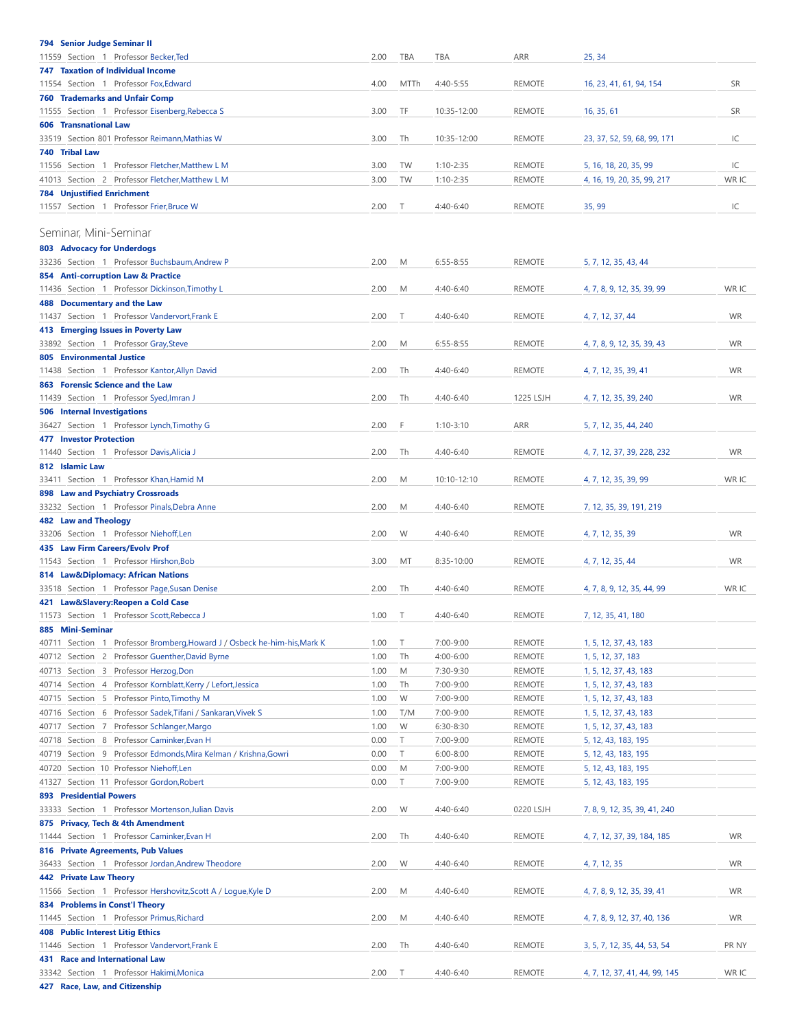<span id="page-2-0"></span>

| <b>794 Senior Judge Seminar II</b>                                                                         |              |             |                        |                                |                                                |           |
|------------------------------------------------------------------------------------------------------------|--------------|-------------|------------------------|--------------------------------|------------------------------------------------|-----------|
| 11559 Section 1 Professor Becker, Ted<br><b>747 Taxation of Individual Income</b>                          | 2.00         | TBA         | TBA                    | <b>ARR</b>                     | 25, 34                                         |           |
| 11554 Section 1 Professor Fox, Edward                                                                      | 4.00         | <b>MTTh</b> | 4:40-5:55              | <b>REMOTE</b>                  | 16, 23, 41, 61, 94, 154                        | <b>SR</b> |
| <b>760 Trademarks and Unfair Comp</b>                                                                      |              |             |                        |                                |                                                |           |
| 11555 Section 1 Professor Eisenberg, Rebecca S                                                             | 3.00         | TF          | 10:35-12:00            | <b>REMOTE</b>                  | 16, 35, 61                                     | <b>SR</b> |
| <b>606 Transnational Law</b><br>33519 Section 801 Professor Reimann, Mathias W                             | 3.00         | Τh          | 10:35-12:00            | <b>REMOTE</b>                  | 23, 37, 52, 59, 68, 99, 171                    | IC        |
| 740 Tribal Law                                                                                             |              |             |                        |                                |                                                |           |
| 11556 Section 1 Professor Fletcher, Matthew L M                                                            | 3.00         | TW          | $1:10 - 2:35$          | <b>REMOTE</b>                  | 5, 16, 18, 20, 35, 99                          | IC        |
| 41013 Section 2 Professor Fletcher, Matthew L M                                                            | 3.00         | TW          | $1:10 - 2:35$          | <b>REMOTE</b>                  | 4, 16, 19, 20, 35, 99, 217                     | WR IC     |
| <b>784 Unjustified Enrichment</b>                                                                          |              |             |                        |                                |                                                |           |
| 11557 Section 1 Professor Frier, Bruce W                                                                   | 2.00         | Τ           | 4:40-6:40              | <b>REMOTE</b>                  | 35, 99                                         | IC        |
| Seminar, Mini-Seminar                                                                                      |              |             |                        |                                |                                                |           |
| <b>803 Advocacy for Underdogs</b>                                                                          |              |             |                        |                                |                                                |           |
| 33236 Section 1 Professor Buchsbaum, Andrew P                                                              | 2.00         | M           | $6:55 - 8:55$          | <b>REMOTE</b>                  | 5, 7, 12, 35, 43, 44                           |           |
| 854 Anti-corruption Law & Practice                                                                         |              |             | 4:40-6:40              |                                |                                                | WR IC     |
| 11436 Section 1 Professor Dickinson, Timothy L<br>488 Documentary and the Law                              | 2.00         | M           |                        | <b>REMOTE</b>                  | 4, 7, 8, 9, 12, 35, 39, 99                     |           |
| 11437 Section 1 Professor Vandervort, Frank E                                                              | 2.00         | Т           | 4:40-6:40              | <b>REMOTE</b>                  | 4, 7, 12, 37, 44                               | WR        |
| 413 Emerging Issues in Poverty Law                                                                         |              |             |                        |                                |                                                |           |
| 33892 Section 1 Professor Gray, Steve                                                                      | 2.00         | М           | $6:55 - 8:55$          | <b>REMOTE</b>                  | 4, 7, 8, 9, 12, 35, 39, 43                     | <b>WR</b> |
| 805 Environmental Justice<br>11438 Section 1 Professor Kantor, Allyn David                                 | 2.00         | Th          | 4:40-6:40              | <b>REMOTE</b>                  | 4, 7, 12, 35, 39, 41                           | WR        |
| 863 Forensic Science and the Law                                                                           |              |             |                        |                                |                                                |           |
| 11439 Section 1 Professor Syed, Imran J                                                                    | 2.00         | Th          | 4:40-6:40              | 1225 LSJH                      | 4, 7, 12, 35, 39, 240                          | <b>WR</b> |
| <b>506 Internal Investigations</b>                                                                         |              |             |                        |                                |                                                |           |
| 36427 Section 1 Professor Lynch, Timothy G                                                                 | 2.00         | F           | $1:10-3:10$            | ARR                            | 5, 7, 12, 35, 44, 240                          |           |
| <b>477 Investor Protection</b><br>11440 Section 1 Professor Davis, Alicia J                                | 2.00         | Th          | 4:40-6:40              | <b>REMOTE</b>                  | 4, 7, 12, 37, 39, 228, 232                     | <b>WR</b> |
| 812 Islamic Law                                                                                            |              |             |                        |                                |                                                |           |
| 33411 Section 1 Professor Khan, Hamid M                                                                    | 2.00         | М           | 10:10-12:10            | <b>REMOTE</b>                  | 4, 7, 12, 35, 39, 99                           | WR IC     |
| 898 Law and Psychiatry Crossroads                                                                          |              |             |                        |                                |                                                |           |
| 33232 Section 1 Professor Pinals, Debra Anne                                                               | 2.00         | М           | 4:40-6:40              | <b>REMOTE</b>                  | 7, 12, 35, 39, 191, 219                        |           |
| 482 Law and Theology<br>33206 Section 1 Professor Niehoff, Len                                             | 2.00         | W           | 4:40-6:40              | <b>REMOTE</b>                  | 4, 7, 12, 35, 39                               | <b>WR</b> |
| 435 Law Firm Careers/Evolv Prof                                                                            |              |             |                        |                                |                                                |           |
| 11543 Section 1 Professor Hirshon, Bob                                                                     | 3.00         | MT          | 8:35-10:00             | <b>REMOTE</b>                  | 4, 7, 12, 35, 44                               | <b>WR</b> |
| 814 Law&Diplomacy: African Nations                                                                         |              |             |                        |                                |                                                |           |
| 33518 Section 1 Professor Page, Susan Denise                                                               | 2.00         | Th          | 4:40-6:40              | <b>REMOTE</b>                  | 4, 7, 8, 9, 12, 35, 44, 99                     | WR IC     |
| 421 Law&Slavery: Reopen a Cold Case<br>11573 Section 1 Professor Scott, Rebecca J                          | 1.00         | $\top$      | 4:40-6:40              | REMOTE                         | 7, 12, 35, 41, 180                             |           |
| 885 Mini-Seminar                                                                                           |              |             |                        |                                |                                                |           |
| 40711 Section 1 Professor Bromberg, Howard J / Osbeck he-him-his, Mark K                                   | 1.00         | Τ           | 7:00-9:00              | <b>REMOTE</b>                  | 1, 5, 12, 37, 43, 183                          |           |
| 40712 Section 2 Professor Guenther, David Byrne                                                            | 1.00         | Th          | 4:00-6:00              | <b>REMOTE</b>                  | 1, 5, 12, 37, 183                              |           |
| 40713 Section 3 Professor Herzog, Don                                                                      | 1.00         | М           | 7:30-9:30              | REMOTE                         | 1, 5, 12, 37, 43, 183                          |           |
| 40714 Section 4 Professor Kornblatt, Kerry / Lefort, Jessica<br>40715 Section 5 Professor Pinto, Timothy M | 1.00<br>1.00 | Th<br>W     | 7:00-9:00<br>7:00-9:00 | <b>REMOTE</b><br><b>REMOTE</b> | 1, 5, 12, 37, 43, 183<br>1, 5, 12, 37, 43, 183 |           |
| 40716 Section 6 Professor Sadek, Tifani / Sankaran, Vivek S                                                | 1.00         | T/M         | 7:00-9:00              | <b>REMOTE</b>                  | 1, 5, 12, 37, 43, 183                          |           |
| 40717 Section 7 Professor Schlanger, Margo                                                                 | 1.00         | W           | 6:30-8:30              | REMOTE                         | 1, 5, 12, 37, 43, 183                          |           |
| 40718 Section 8 Professor Caminker, Evan H                                                                 | 0.00         | T           | 7:00-9:00              | <b>REMOTE</b>                  | 5, 12, 43, 183, 195                            |           |
| 40719 Section 9 Professor Edmonds, Mira Kelman / Krishna, Gowri                                            | 0.00         | T           | $6:00 - 8:00$          | <b>REMOTE</b>                  | 5, 12, 43, 183, 195                            |           |
| 40720 Section 10 Professor Niehoff, Len                                                                    | 0.00         | М           | 7:00-9:00              | <b>REMOTE</b><br><b>REMOTE</b> | 5, 12, 43, 183, 195                            |           |
| 41327 Section 11 Professor Gordon, Robert<br><b>893 Presidential Powers</b>                                | 0.00         | T           | 7:00-9:00              |                                | 5, 12, 43, 183, 195                            |           |
| 33333 Section 1 Professor Mortenson, Julian Davis                                                          | 2.00         | W           | 4:40-6:40              | 0220 LSJH                      | 7, 8, 9, 12, 35, 39, 41, 240                   |           |
| 875 Privacy, Tech & 4th Amendment                                                                          |              |             |                        |                                |                                                |           |
| 11444 Section 1 Professor Caminker, Evan H                                                                 | 2.00         | Th          | 4:40-6:40              | REMOTE                         | 4, 7, 12, 37, 39, 184, 185                     | <b>WR</b> |
| 816 Private Agreements, Pub Values                                                                         |              |             |                        |                                |                                                |           |
| 36433 Section 1 Professor Jordan, Andrew Theodore<br><b>442 Private Law Theory</b>                         | 2.00         | W           | 4:40-6:40              | <b>REMOTE</b>                  | 4, 7, 12, 35                                   | <b>WR</b> |
| 11566 Section 1 Professor Hershovitz, Scott A / Logue, Kyle D                                              | 2.00         | M           | 4:40-6:40              | <b>REMOTE</b>                  | 4, 7, 8, 9, 12, 35, 39, 41                     | <b>WR</b> |
| 834 Problems in Const'l Theory                                                                             |              |             |                        |                                |                                                |           |
| 11445 Section 1 Professor Primus, Richard                                                                  | 2.00         | М           | 4:40-6:40              | <b>REMOTE</b>                  | 4, 7, 8, 9, 12, 37, 40, 136                    | <b>WR</b> |
| <b>408 Public Interest Litig Ethics</b><br>11446 Section 1 Professor Vandervort, Frank E                   | 2.00         | Th          | 4:40-6:40              | <b>REMOTE</b>                  |                                                | PR NY     |
| 431 Race and International Law                                                                             |              |             |                        |                                | 3, 5, 7, 12, 35, 44, 53, 54                    |           |
| 33342 Section 1 Professor Hakimi, Monica                                                                   | 2.00         | Τ           | 4:40-6:40              | <b>REMOTE</b>                  | 4, 7, 12, 37, 41, 44, 99, 145                  | WR IC     |
| 427 Race, Law, and Citizenship                                                                             |              |             |                        |                                |                                                |           |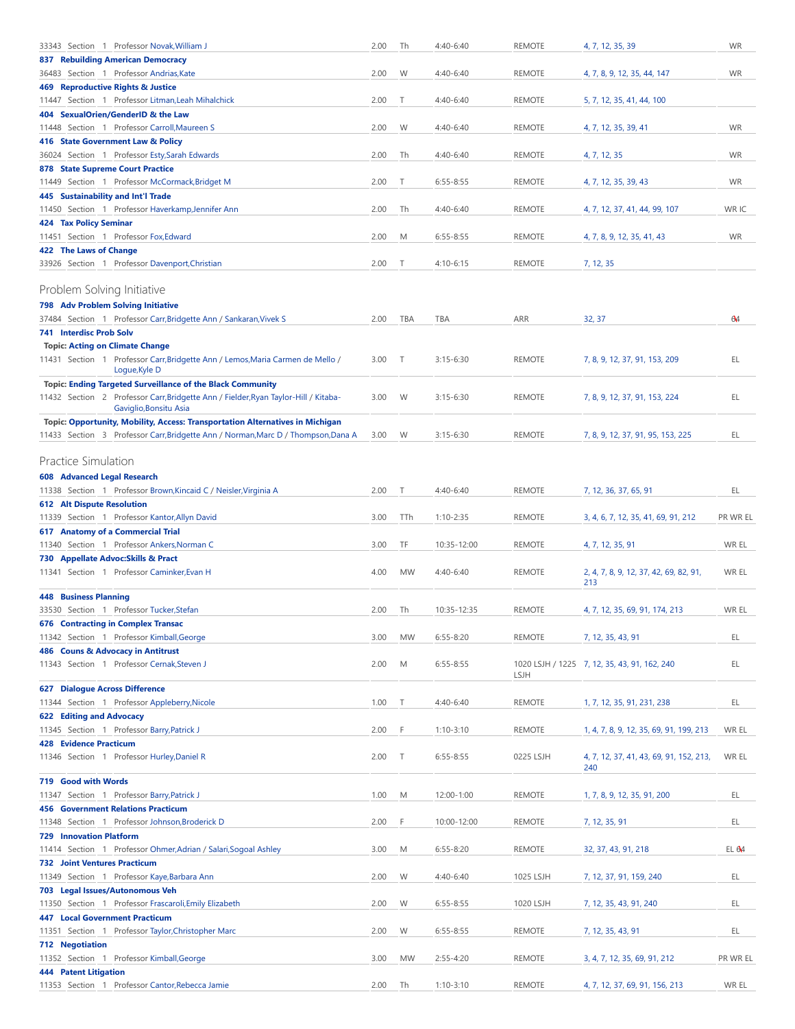<span id="page-3-1"></span><span id="page-3-0"></span>

| 2.00                                                                                      | Th                                                                                                                                                                  | 4:40-6:40                                                            | <b>REMOTE</b>                                                                                                                                                    | 4, 7, 12, 35, 39                                                                                                                                                                         | <b>WR</b>                                                                                                                                                                                                                                                                                                                                 |
|-------------------------------------------------------------------------------------------|---------------------------------------------------------------------------------------------------------------------------------------------------------------------|----------------------------------------------------------------------|------------------------------------------------------------------------------------------------------------------------------------------------------------------|------------------------------------------------------------------------------------------------------------------------------------------------------------------------------------------|-------------------------------------------------------------------------------------------------------------------------------------------------------------------------------------------------------------------------------------------------------------------------------------------------------------------------------------------|
|                                                                                           |                                                                                                                                                                     |                                                                      |                                                                                                                                                                  |                                                                                                                                                                                          |                                                                                                                                                                                                                                                                                                                                           |
| 2.00                                                                                      | W                                                                                                                                                                   | 4:40-6:40                                                            | <b>REMOTE</b>                                                                                                                                                    | 4, 7, 8, 9, 12, 35, 44, 147                                                                                                                                                              | <b>WR</b>                                                                                                                                                                                                                                                                                                                                 |
|                                                                                           |                                                                                                                                                                     |                                                                      |                                                                                                                                                                  |                                                                                                                                                                                          |                                                                                                                                                                                                                                                                                                                                           |
|                                                                                           |                                                                                                                                                                     |                                                                      |                                                                                                                                                                  |                                                                                                                                                                                          |                                                                                                                                                                                                                                                                                                                                           |
|                                                                                           |                                                                                                                                                                     |                                                                      |                                                                                                                                                                  |                                                                                                                                                                                          | <b>WR</b>                                                                                                                                                                                                                                                                                                                                 |
|                                                                                           |                                                                                                                                                                     |                                                                      |                                                                                                                                                                  |                                                                                                                                                                                          |                                                                                                                                                                                                                                                                                                                                           |
| 2.00                                                                                      | Th                                                                                                                                                                  | 4:40-6:40                                                            | <b>REMOTE</b>                                                                                                                                                    | 4, 7, 12, 35                                                                                                                                                                             | <b>WR</b>                                                                                                                                                                                                                                                                                                                                 |
|                                                                                           |                                                                                                                                                                     |                                                                      |                                                                                                                                                                  |                                                                                                                                                                                          |                                                                                                                                                                                                                                                                                                                                           |
| 2.00                                                                                      | T                                                                                                                                                                   | $6:55 - 8:55$                                                        | <b>REMOTE</b>                                                                                                                                                    | 4, 7, 12, 35, 39, 43                                                                                                                                                                     | <b>WR</b>                                                                                                                                                                                                                                                                                                                                 |
|                                                                                           |                                                                                                                                                                     |                                                                      |                                                                                                                                                                  |                                                                                                                                                                                          |                                                                                                                                                                                                                                                                                                                                           |
| 2.00                                                                                      | Th                                                                                                                                                                  | 4:40-6:40                                                            |                                                                                                                                                                  | 4, 7, 12, 37, 41, 44, 99, 107                                                                                                                                                            | WR IC                                                                                                                                                                                                                                                                                                                                     |
|                                                                                           |                                                                                                                                                                     |                                                                      |                                                                                                                                                                  |                                                                                                                                                                                          |                                                                                                                                                                                                                                                                                                                                           |
|                                                                                           |                                                                                                                                                                     |                                                                      |                                                                                                                                                                  |                                                                                                                                                                                          | <b>WR</b>                                                                                                                                                                                                                                                                                                                                 |
|                                                                                           |                                                                                                                                                                     |                                                                      |                                                                                                                                                                  |                                                                                                                                                                                          |                                                                                                                                                                                                                                                                                                                                           |
|                                                                                           |                                                                                                                                                                     |                                                                      |                                                                                                                                                                  |                                                                                                                                                                                          |                                                                                                                                                                                                                                                                                                                                           |
|                                                                                           |                                                                                                                                                                     |                                                                      |                                                                                                                                                                  |                                                                                                                                                                                          |                                                                                                                                                                                                                                                                                                                                           |
|                                                                                           |                                                                                                                                                                     |                                                                      |                                                                                                                                                                  |                                                                                                                                                                                          |                                                                                                                                                                                                                                                                                                                                           |
| 2.00                                                                                      | TBA                                                                                                                                                                 | TBA                                                                  | ARR                                                                                                                                                              | 32, 37                                                                                                                                                                                   | 64                                                                                                                                                                                                                                                                                                                                        |
|                                                                                           |                                                                                                                                                                     |                                                                      |                                                                                                                                                                  |                                                                                                                                                                                          |                                                                                                                                                                                                                                                                                                                                           |
|                                                                                           |                                                                                                                                                                     |                                                                      |                                                                                                                                                                  |                                                                                                                                                                                          |                                                                                                                                                                                                                                                                                                                                           |
| 11431 Section 1 Professor Carr, Bridgette Ann / Lemos, Maria Carmen de Mello /<br>3.00    | $\top$                                                                                                                                                              | $3:15 - 6:30$                                                        | <b>REMOTE</b>                                                                                                                                                    | 7, 8, 9, 12, 37, 91, 153, 209                                                                                                                                                            | EL                                                                                                                                                                                                                                                                                                                                        |
|                                                                                           |                                                                                                                                                                     |                                                                      |                                                                                                                                                                  |                                                                                                                                                                                          |                                                                                                                                                                                                                                                                                                                                           |
|                                                                                           |                                                                                                                                                                     |                                                                      |                                                                                                                                                                  |                                                                                                                                                                                          |                                                                                                                                                                                                                                                                                                                                           |
|                                                                                           |                                                                                                                                                                     |                                                                      |                                                                                                                                                                  |                                                                                                                                                                                          | EL                                                                                                                                                                                                                                                                                                                                        |
| Topic: Opportunity, Mobility, Access: Transportation Alternatives in Michigan             |                                                                                                                                                                     |                                                                      |                                                                                                                                                                  |                                                                                                                                                                                          |                                                                                                                                                                                                                                                                                                                                           |
| 11433 Section 3 Professor Carr, Bridgette Ann / Norman, Marc D / Thompson, Dana A<br>3.00 | W                                                                                                                                                                   | $3:15 - 6:30$                                                        | <b>REMOTE</b>                                                                                                                                                    | 7, 8, 9, 12, 37, 91, 95, 153, 225                                                                                                                                                        | EL                                                                                                                                                                                                                                                                                                                                        |
|                                                                                           |                                                                                                                                                                     |                                                                      |                                                                                                                                                                  |                                                                                                                                                                                          |                                                                                                                                                                                                                                                                                                                                           |
|                                                                                           |                                                                                                                                                                     |                                                                      |                                                                                                                                                                  |                                                                                                                                                                                          |                                                                                                                                                                                                                                                                                                                                           |
|                                                                                           |                                                                                                                                                                     |                                                                      |                                                                                                                                                                  |                                                                                                                                                                                          |                                                                                                                                                                                                                                                                                                                                           |
| 2.00                                                                                      | $\top$                                                                                                                                                              | 4:40-6:40                                                            | <b>REMOTE</b>                                                                                                                                                    | 7, 12, 36, 37, 65, 91                                                                                                                                                                    | EL                                                                                                                                                                                                                                                                                                                                        |
|                                                                                           |                                                                                                                                                                     |                                                                      |                                                                                                                                                                  |                                                                                                                                                                                          |                                                                                                                                                                                                                                                                                                                                           |
|                                                                                           |                                                                                                                                                                     |                                                                      |                                                                                                                                                                  |                                                                                                                                                                                          | PR WR EL                                                                                                                                                                                                                                                                                                                                  |
|                                                                                           |                                                                                                                                                                     |                                                                      |                                                                                                                                                                  |                                                                                                                                                                                          | WR EL                                                                                                                                                                                                                                                                                                                                     |
|                                                                                           |                                                                                                                                                                     |                                                                      |                                                                                                                                                                  |                                                                                                                                                                                          |                                                                                                                                                                                                                                                                                                                                           |
|                                                                                           |                                                                                                                                                                     |                                                                      | <b>REMOTE</b>                                                                                                                                                    |                                                                                                                                                                                          | WR EL                                                                                                                                                                                                                                                                                                                                     |
|                                                                                           |                                                                                                                                                                     |                                                                      |                                                                                                                                                                  | 213                                                                                                                                                                                      |                                                                                                                                                                                                                                                                                                                                           |
|                                                                                           |                                                                                                                                                                     |                                                                      |                                                                                                                                                                  |                                                                                                                                                                                          |                                                                                                                                                                                                                                                                                                                                           |
| 2.00                                                                                      | Th                                                                                                                                                                  | 10:35-12:35                                                          | <b>REMOTE</b>                                                                                                                                                    | 4, 7, 12, 35, 69, 91, 174, 213                                                                                                                                                           | WR EL                                                                                                                                                                                                                                                                                                                                     |
|                                                                                           |                                                                                                                                                                     |                                                                      |                                                                                                                                                                  |                                                                                                                                                                                          |                                                                                                                                                                                                                                                                                                                                           |
| 3.00                                                                                      |                                                                                                                                                                     |                                                                      |                                                                                                                                                                  | 7, 12, 35, 43, 91                                                                                                                                                                        | EL                                                                                                                                                                                                                                                                                                                                        |
|                                                                                           |                                                                                                                                                                     |                                                                      |                                                                                                                                                                  |                                                                                                                                                                                          |                                                                                                                                                                                                                                                                                                                                           |
|                                                                                           |                                                                                                                                                                     |                                                                      |                                                                                                                                                                  |                                                                                                                                                                                          | EL                                                                                                                                                                                                                                                                                                                                        |
|                                                                                           |                                                                                                                                                                     |                                                                      |                                                                                                                                                                  |                                                                                                                                                                                          |                                                                                                                                                                                                                                                                                                                                           |
| 1.00                                                                                      | Τ                                                                                                                                                                   | 4:40-6:40                                                            | REMOTE                                                                                                                                                           | 1, 7, 12, 35, 91, 231, 238                                                                                                                                                               | EL                                                                                                                                                                                                                                                                                                                                        |
|                                                                                           |                                                                                                                                                                     |                                                                      |                                                                                                                                                                  |                                                                                                                                                                                          |                                                                                                                                                                                                                                                                                                                                           |
| 2.00                                                                                      | F                                                                                                                                                                   | $1:10-3:10$                                                          | <b>REMOTE</b>                                                                                                                                                    | 1, 4, 7, 8, 9, 12, 35, 69, 91, 199, 213                                                                                                                                                  | WR EL                                                                                                                                                                                                                                                                                                                                     |
|                                                                                           |                                                                                                                                                                     |                                                                      |                                                                                                                                                                  |                                                                                                                                                                                          |                                                                                                                                                                                                                                                                                                                                           |
| 2.00                                                                                      | T                                                                                                                                                                   | $6:55 - 8:55$                                                        | 0225 LSJH                                                                                                                                                        | 4, 7, 12, 37, 41, 43, 69, 91, 152, 213,                                                                                                                                                  | WR EL                                                                                                                                                                                                                                                                                                                                     |
|                                                                                           |                                                                                                                                                                     |                                                                      |                                                                                                                                                                  |                                                                                                                                                                                          |                                                                                                                                                                                                                                                                                                                                           |
|                                                                                           |                                                                                                                                                                     |                                                                      |                                                                                                                                                                  |                                                                                                                                                                                          | EL                                                                                                                                                                                                                                                                                                                                        |
|                                                                                           |                                                                                                                                                                     |                                                                      |                                                                                                                                                                  |                                                                                                                                                                                          |                                                                                                                                                                                                                                                                                                                                           |
| 2.00                                                                                      | F                                                                                                                                                                   | 10:00-12:00                                                          |                                                                                                                                                                  |                                                                                                                                                                                          | EL                                                                                                                                                                                                                                                                                                                                        |
|                                                                                           |                                                                                                                                                                     |                                                                      |                                                                                                                                                                  |                                                                                                                                                                                          |                                                                                                                                                                                                                                                                                                                                           |
| 3.00                                                                                      | M                                                                                                                                                                   | 6:55-8:20                                                            | REMOTE                                                                                                                                                           | 32, 37, 43, 91, 218                                                                                                                                                                      | EL <sub>64</sub>                                                                                                                                                                                                                                                                                                                          |
|                                                                                           |                                                                                                                                                                     |                                                                      |                                                                                                                                                                  |                                                                                                                                                                                          |                                                                                                                                                                                                                                                                                                                                           |
|                                                                                           |                                                                                                                                                                     | 4:40-6:40                                                            | 1025 LSJH                                                                                                                                                        | 7, 12, 37, 91, 159, 240                                                                                                                                                                  | EL                                                                                                                                                                                                                                                                                                                                        |
| 2.00                                                                                      |                                                                                                                                                                     |                                                                      |                                                                                                                                                                  |                                                                                                                                                                                          |                                                                                                                                                                                                                                                                                                                                           |
|                                                                                           |                                                                                                                                                                     |                                                                      |                                                                                                                                                                  |                                                                                                                                                                                          |                                                                                                                                                                                                                                                                                                                                           |
| 2.00                                                                                      | W                                                                                                                                                                   | 6:55-8:55                                                            | 1020 LSJH                                                                                                                                                        | 7, 12, 35, 43, 91, 240                                                                                                                                                                   | EL                                                                                                                                                                                                                                                                                                                                        |
|                                                                                           |                                                                                                                                                                     |                                                                      |                                                                                                                                                                  |                                                                                                                                                                                          |                                                                                                                                                                                                                                                                                                                                           |
| 2.00                                                                                      | W                                                                                                                                                                   | 6:55-8:55                                                            | REMOTE                                                                                                                                                           | 7, 12, 35, 43, 91                                                                                                                                                                        | EL                                                                                                                                                                                                                                                                                                                                        |
|                                                                                           |                                                                                                                                                                     |                                                                      |                                                                                                                                                                  |                                                                                                                                                                                          |                                                                                                                                                                                                                                                                                                                                           |
| 3.00                                                                                      | <b>MW</b>                                                                                                                                                           | 2:55-4:20                                                            | REMOTE                                                                                                                                                           | 3, 4, 7, 12, 35, 69, 91, 212                                                                                                                                                             | PR WR EL                                                                                                                                                                                                                                                                                                                                  |
|                                                                                           | 2.00<br>2.00<br>2.00<br>2.00<br>11432 Section 2 Professor Carr, Bridgette Ann / Fielder, Ryan Taylor-Hill / Kitaba-<br>3.00<br>3.00<br>3.00<br>4.00<br>2.00<br>1.00 | Т<br>W<br>M<br>T<br>W<br>TTh<br>TF<br>MW<br><b>MW</b><br>M<br>M<br>W | 4:40-6:40<br>4:40-6:40<br>$6:55 - 8:55$<br>$4:10-6:15$<br>$3:15 - 6:30$<br>$1:10 - 2:35$<br>10:35-12:00<br>4:40-6:40<br>6:55-8:20<br>$6:55 - 8:55$<br>12:00-1:00 | <b>REMOTE</b><br><b>REMOTE</b><br><b>REMOTE</b><br><b>REMOTE</b><br><b>REMOTE</b><br><b>REMOTE</b><br><b>REMOTE</b><br><b>REMOTE</b><br><b>REMOTE</b><br><b>LSJH</b><br>REMOTE<br>REMOTE | 5, 7, 12, 35, 41, 44, 100<br>4, 7, 12, 35, 39, 41<br>4, 7, 8, 9, 12, 35, 41, 43<br>7, 12, 35<br>7, 8, 9, 12, 37, 91, 153, 224<br>3, 4, 6, 7, 12, 35, 41, 69, 91, 212<br>4, 7, 12, 35, 91<br>2, 4, 7, 8, 9, 12, 37, 42, 69, 82, 91,<br>1020 LSJH / 1225 7, 12, 35, 43, 91, 162, 240<br>240<br>1, 7, 8, 9, 12, 35, 91, 200<br>7, 12, 35, 91 |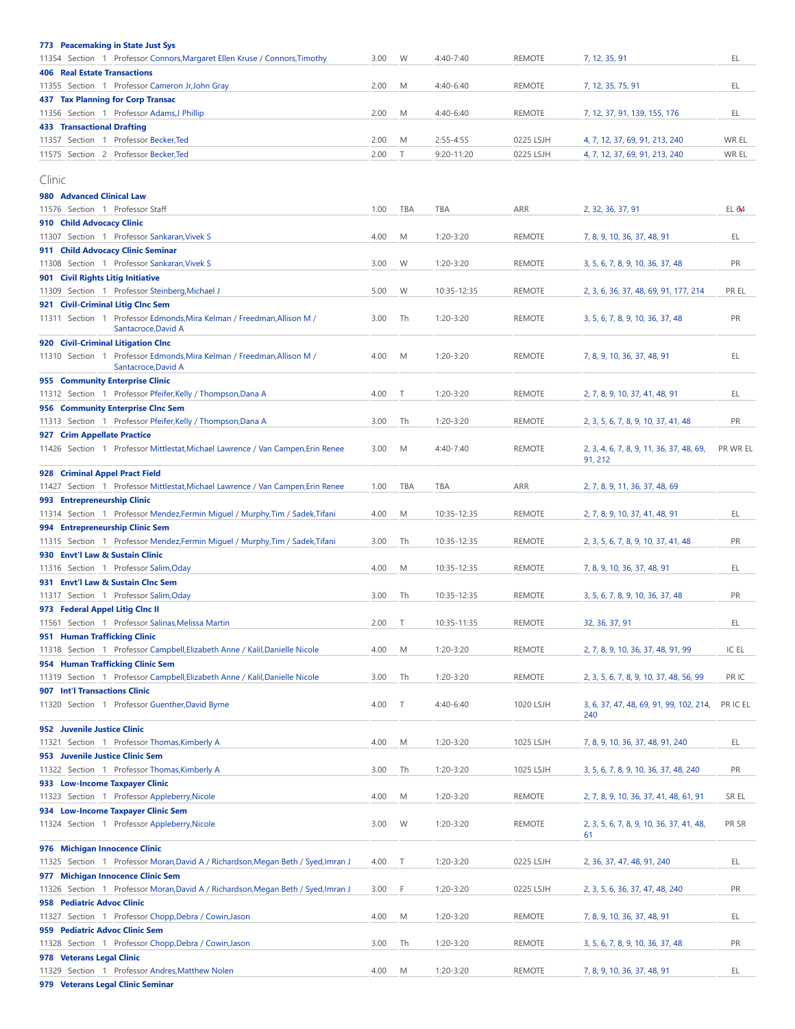<span id="page-4-0"></span>

| <b>773 Peacemaking in State Just Sys</b>                                                      |      |            |                |               |                                                |          |
|-----------------------------------------------------------------------------------------------|------|------------|----------------|---------------|------------------------------------------------|----------|
| 11354 Section 1 Professor Connors, Margaret Ellen Kruse / Connors, Timothy                    | 3.00 | W          | 4:40-7:40      | <b>REMOTE</b> | 7, 12, 35, 91                                  | EL       |
| <b>406 Real Estate Transactions</b>                                                           |      |            |                |               |                                                |          |
| 11355 Section 1 Professor Cameron Jr, John Gray                                               | 2.00 | M          | 4:40-6:40      | <b>REMOTE</b> | 7, 12, 35, 75, 91                              | EL       |
| <b>437 Tax Planning for Corp Transac</b>                                                      |      |            |                |               |                                                |          |
| 11356 Section 1 Professor Adams, J Phillip                                                    | 2.00 | M          | 4:40-6:40      | <b>REMOTE</b> | 7, 12, 37, 91, 139, 155, 176                   | EL       |
| <b>433 Transactional Drafting</b>                                                             |      |            |                |               |                                                |          |
| 11357 Section 1 Professor Becker, Ted                                                         | 2.00 | M          | $2:55 - 4:55$  | 0225 LSJH     | 4, 7, 12, 37, 69, 91, 213, 240                 | WR EL    |
|                                                                                               |      |            |                |               |                                                |          |
| 11575 Section 2 Professor Becker, Ted                                                         | 2.00 | Т          | $9:20 - 11:20$ | 0225 LSJH     | 4, 7, 12, 37, 69, 91, 213, 240                 | WR EL    |
|                                                                                               |      |            |                |               |                                                |          |
| Clinic                                                                                        |      |            |                |               |                                                |          |
| 980 Advanced Clinical Law                                                                     |      |            |                |               |                                                |          |
| 11576 Section 1 Professor Staff                                                               | 1.00 | <b>TBA</b> | TBA            | ARR           | 2, 32, 36, 37, 91                              | EL 64    |
| 910 Child Advocacy Clinic                                                                     |      |            |                |               |                                                |          |
| 11307 Section 1 Professor Sankaran, Vivek S                                                   | 4.00 | M          | 1:20-3:20      | <b>REMOTE</b> | 7, 8, 9, 10, 36, 37, 48, 91                    | EL       |
| 911 Child Advocacy Clinic Seminar                                                             |      |            |                |               |                                                |          |
| 11308 Section 1 Professor Sankaran, Vivek S                                                   | 3.00 | W          | 1:20-3:20      | <b>REMOTE</b> | 3, 5, 6, 7, 8, 9, 10, 36, 37, 48               | PR       |
| 901 Civil Rights Litig Initiative                                                             |      |            |                |               |                                                |          |
| 11309 Section 1 Professor Steinberg, Michael J                                                | 5.00 | W          | 10:35-12:35    | <b>REMOTE</b> | 2, 3, 6, 36, 37, 48, 69, 91, 177, 214          | PR EL    |
|                                                                                               |      |            |                |               |                                                |          |
| 921 Civil-Criminal Litig Clnc Sem                                                             |      |            |                |               |                                                |          |
| 11311 Section 1 Professor Edmonds, Mira Kelman / Freedman, Allison M /<br>Santacroce, David A | 3.00 | Th         | $1:20-3:20$    | <b>REMOTE</b> | 3, 5, 6, 7, 8, 9, 10, 36, 37, 48               | PR       |
|                                                                                               |      |            |                |               |                                                |          |
| 920 Civil-Criminal Litigation Clnc                                                            |      |            |                |               |                                                |          |
| 11310 Section 1 Professor Edmonds, Mira Kelman / Freedman, Allison M /                        | 4.00 | M          | $1:20-3:20$    | <b>REMOTE</b> | 7, 8, 9, 10, 36, 37, 48, 91                    | EL       |
| Santacroce, David A                                                                           |      |            |                |               |                                                |          |
| 955 Community Enterprise Clinic                                                               |      |            |                |               |                                                |          |
| 11312 Section 1 Professor Pfeifer, Kelly / Thompson, Dana A                                   | 4.00 | Т          | 1:20-3:20      | <b>REMOTE</b> | 2, 7, 8, 9, 10, 37, 41, 48, 91                 | EL       |
| 956 Community Enterprise Clnc Sem                                                             |      |            |                |               |                                                |          |
| 11313 Section 1 Professor Pfeifer, Kelly / Thompson, Dana A                                   | 3.00 | Th         | 1:20-3:20      | <b>REMOTE</b> | 2, 3, 5, 6, 7, 8, 9, 10, 37, 41, 48            | PR       |
| 927 Crim Appellate Practice                                                                   |      |            |                |               |                                                |          |
| 11426 Section 1 Professor Mittlestat, Michael Lawrence / Van Campen, Erin Renee               | 3.00 | M          | 4:40-7:40      | <b>REMOTE</b> | 2, 3, 4, 6, 7, 8, 9, 11, 36, 37, 48, 69,       | PR WR EL |
|                                                                                               |      |            |                |               | 91, 212                                        |          |
| 928 Criminal Appel Pract Field                                                                |      |            |                |               |                                                |          |
| 11427 Section 1 Professor Mittlestat, Michael Lawrence / Van Campen, Erin Renee               | 1.00 | <b>TBA</b> | TBA            | ARR           | 2, 7, 8, 9, 11, 36, 37, 48, 69                 |          |
| 993 Entrepreneurship Clinic                                                                   |      |            |                |               |                                                |          |
| 11314 Section 1 Professor Mendez, Fermin Miguel / Murphy, Tim / Sadek, Tifani                 | 4.00 | M          | 10:35-12:35    | <b>REMOTE</b> | 2, 7, 8, 9, 10, 37, 41, 48, 91                 | EL       |
| 994 Entrepreneurship Clinic Sem                                                               |      |            |                |               |                                                |          |
| 11315 Section 1 Professor Mendez, Fermin Miguel / Murphy, Tim / Sadek, Tifani                 | 3.00 | Th         | 10:35-12:35    | <b>REMOTE</b> |                                                | PR       |
|                                                                                               |      |            |                |               | 2, 3, 5, 6, 7, 8, 9, 10, 37, 41, 48            |          |
| 930 Envt'l Law & Sustain Clinic                                                               |      |            |                |               |                                                |          |
| 11316 Section 1 Professor Salim, Oday                                                         | 4.00 | M          | 10:35-12:35    | <b>REMOTE</b> | 7, 8, 9, 10, 36, 37, 48, 91                    | EL       |
| 931 Envt'l Law & Sustain Clnc Sem                                                             |      |            |                |               |                                                |          |
| 11317 Section 1 Professor Salim, Oday                                                         | 3.00 | Th         | 10:35-12:35    | <b>REMOTE</b> | 3, 5, 6, 7, 8, 9, 10, 36, 37, 48               | PR       |
| 973 Federal Appel Litig Clnc II                                                               |      |            |                |               |                                                |          |
| 11561 Section 1 Professor Salinas, Melissa Martin                                             | 2.00 | T.         | 10:35-11:35    | <b>REMOTE</b> | 32, 36, 37, 91                                 | EL       |
| 951 Human Trafficking Clinic                                                                  |      |            |                |               |                                                |          |
| 11318 Section 1 Professor Campbell, Elizabeth Anne / Kalil, Danielle Nicole                   | 4.00 | M          | 1:20-3:20      | <b>REMOTE</b> | 2, 7, 8, 9, 10, 36, 37, 48, 91, 99             | IC EL    |
| 954 Human Trafficking Clinic Sem                                                              |      |            |                |               |                                                |          |
| 11319 Section 1 Professor Campbell, Elizabeth Anne / Kalil, Danielle Nicole                   | 3.00 | Th         | 1:20-3:20      | <b>REMOTE</b> | 2, 3, 5, 6, 7, 8, 9, 10, 37, 48, 56, 99        | PR IC    |
| 907 Int'l Transactions Clinic                                                                 |      |            |                |               |                                                |          |
|                                                                                               |      |            |                |               |                                                |          |
| 11320 Section 1 Professor Guenther, David Byrne                                               | 4.00 | $\top$     | 4:40-6:40      | 1020 LSJH     | 3, 6, 37, 47, 48, 69, 91, 99, 102, 214,<br>240 | PR IC EL |
|                                                                                               |      |            |                |               |                                                |          |
| 952 Juvenile Justice Clinic                                                                   |      |            |                |               |                                                |          |
| Section 1 Professor Thomas, Kimberly A<br>11321                                               | 4.00 | M          | 1:20-3:20      | 1025 LSJH     | 7, 8, 9, 10, 36, 37, 48, 91, 240               | EL       |
| 953 Juvenile Justice Clinic Sem                                                               |      |            |                |               |                                                |          |
| 11322 Section 1 Professor Thomas, Kimberly A                                                  | 3.00 | Th         | 1:20-3:20      | 1025 LSJH     | 3, 5, 6, 7, 8, 9, 10, 36, 37, 48, 240          | PR       |
| 933 Low-Income Taxpayer Clinic                                                                |      |            |                |               |                                                |          |
| 11323 Section 1 Professor Appleberry, Nicole                                                  | 4.00 | M          | 1:20-3:20      | <b>REMOTE</b> | 2, 7, 8, 9, 10, 36, 37, 41, 48, 61, 91         | SR EL    |
| 934 Low-Income Taxpayer Clinic Sem                                                            |      |            |                |               |                                                |          |
| 11324 Section 1 Professor Appleberry, Nicole                                                  | 3.00 | W          | 1:20-3:20      | <b>REMOTE</b> | 2, 3, 5, 6, 7, 8, 9, 10, 36, 37, 41, 48,       | PR SR    |
|                                                                                               |      |            |                |               | 61                                             |          |
| 976 Michigan Innocence Clinic                                                                 |      |            |                |               |                                                |          |
| 11325 Section 1 Professor Moran, David A / Richardson, Megan Beth / Syed, Imran J             | 4.00 | T          | 1:20-3:20      | 0225 LSJH     | 2, 36, 37, 47, 48, 91, 240                     | EL       |
| 977 Michigan Innocence Clinic Sem                                                             |      |            |                |               |                                                |          |
| 11326 Section 1 Professor Moran, David A / Richardson, Megan Beth / Syed, Imran J             | 3.00 | F          | 1:20-3:20      | 0225 LSJH     | 2, 3, 5, 6, 36, 37, 47, 48, 240                | PR       |
| 958 Pediatric Advoc Clinic                                                                    |      |            |                |               |                                                |          |
|                                                                                               |      |            |                |               |                                                |          |
| 11327 Section 1 Professor Chopp, Debra / Cowin, Jason                                         | 4.00 | M          | 1:20-3:20      | <b>REMOTE</b> | 7, 8, 9, 10, 36, 37, 48, 91                    | EL       |
| 959 Pediatric Advoc Clinic Sem                                                                |      |            |                |               |                                                |          |
| 11328 Section 1 Professor Chopp, Debra / Cowin, Jason                                         | 3.00 | Th         | 1:20-3:20      | REMOTE        | 3, 5, 6, 7, 8, 9, 10, 36, 37, 48               | PR       |
| 978 Veterans Legal Clinic                                                                     |      |            |                |               |                                                |          |
| 11329 Section 1 Professor Andres, Matthew Nolen                                               | 4.00 | M          | 1:20-3:20      | <b>REMOTE</b> | 7, 8, 9, 10, 36, 37, 48, 91                    | EL       |
| 979 Veterans Legal Clinic Seminar                                                             |      |            |                |               |                                                |          |